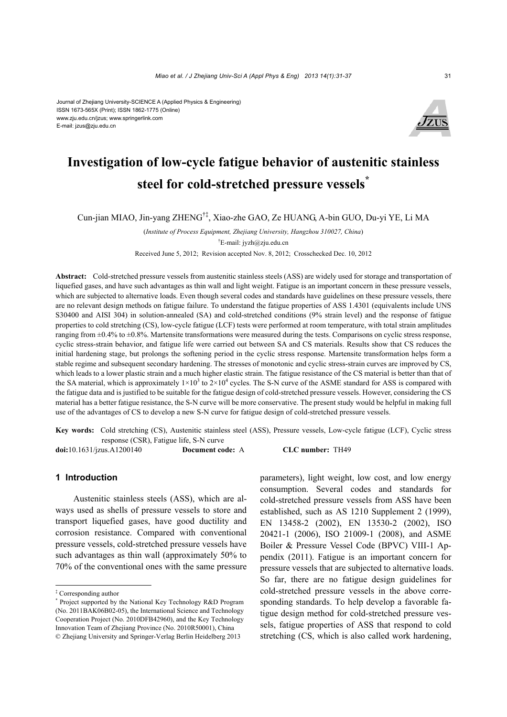#### Journal of Zhejiang University-SCIENCE A (Applied Physics & Engineering) ISSN 1673-565X (Print); ISSN 1862-1775 (Online) www.zju.edu.cn/jzus; www.springerlink.com E-mail: jzus@zju.edu.cn



# **Investigation of low-cycle fatigue behavior of austenitic stainless steel for cold-stretched pressure vessels\***

Cun-jian MIAO, Jin-yang ZHENG†‡, Xiao-zhe GAO, Ze HUANG, A-bin GUO, Du-yi YE, Li MA

(*Institute of Process Equipment, Zhejiang University, Hangzhou 310027, China*) † E-mail: jyzh@zju.edu.cn

Received June 5, 2012; Revision accepted Nov. 8, 2012; Crosschecked Dec. 10, 2012

**Abstract:** Cold-stretched pressure vessels from austenitic stainless steels (ASS) are widely used for storage and transportation of liquefied gases, and have such advantages as thin wall and light weight. Fatigue is an important concern in these pressure vessels, which are subjected to alternative loads. Even though several codes and standards have guidelines on these pressure vessels, there are no relevant design methods on fatigue failure. To understand the fatigue properties of ASS 1.4301 (equivalents include UNS S30400 and AISI 304) in solution-annealed (SA) and cold-stretched conditions (9% strain level) and the response of fatigue properties to cold stretching (CS), low-cycle fatigue (LCF) tests were performed at room temperature, with total strain amplitudes ranging from  $\pm 0.4\%$  to  $\pm 0.8\%$ . Martensite transformations were measured during the tests. Comparisons on cyclic stress response, cyclic stress-strain behavior, and fatigue life were carried out between SA and CS materials. Results show that CS reduces the initial hardening stage, but prolongs the softening period in the cyclic stress response. Martensite transformation helps form a stable regime and subsequent secondary hardening. The stresses of monotonic and cyclic stress-strain curves are improved by CS, which leads to a lower plastic strain and a much higher elastic strain. The fatigue resistance of the CS material is better than that of the SA material, which is approximately  $1\times10^3$  to  $2\times10^4$  cycles. The S-N curve of the ASME standard for ASS is compared with the fatigue data and is justified to be suitable for the fatigue design of cold-stretched pressure vessels. However, considering the CS material has a better fatigue resistance, the S-N curve will be more conservative. The present study would be helpful in making full use of the advantages of CS to develop a new S-N curve for fatigue design of cold-stretched pressure vessels.

**Key words:**Cold stretching (CS), Austenitic stainless steel (ASS), Pressure vessels, Low-cycle fatigue (LCF), Cyclic stress response (CSR), Fatigue life, S-N curve

**doi:**10.1631/jzus.A1200140 **Document code:** A **CLC number:** TH49

# **1 Introduction**

Austenitic stainless steels (ASS), which are always used as shells of pressure vessels to store and transport liquefied gases, have good ductility and corrosion resistance. Compared with conventional pressure vessels, cold-stretched pressure vessels have such advantages as thin wall (approximately 50% to 70% of the conventional ones with the same pressure

parameters), light weight, low cost, and low energy consumption. Several codes and standards for cold-stretched pressure vessels from ASS have been established, such as AS 1210 Supplement 2 (1999), EN 13458-2 (2002), EN 13530-2 (2002), ISO 20421-1 (2006), ISO 21009-1 (2008), and ASME Boiler & Pressure Vessel Code (BPVC) VIII-1 Appendix (2011). Fatigue is an important concern for pressure vessels that are subjected to alternative loads. So far, there are no fatigue design guidelines for cold-stretched pressure vessels in the above corresponding standards. To help develop a favorable fatigue design method for cold-stretched pressure vessels, fatigue properties of ASS that respond to cold stretching (CS, which is also called work hardening,

<sup>‡</sup> Corresponding author

<sup>\*</sup> Project supported by the National Key Technology R&D Program (No. 2011BAK06B02-05), the International Science and Technology Cooperation Project (No. 2010DFB42960), and the Key Technology Innovation Team of Zhejiang Province (No. 2010R50001), China © Zhejiang University and Springer-Verlag Berlin Heidelberg 2013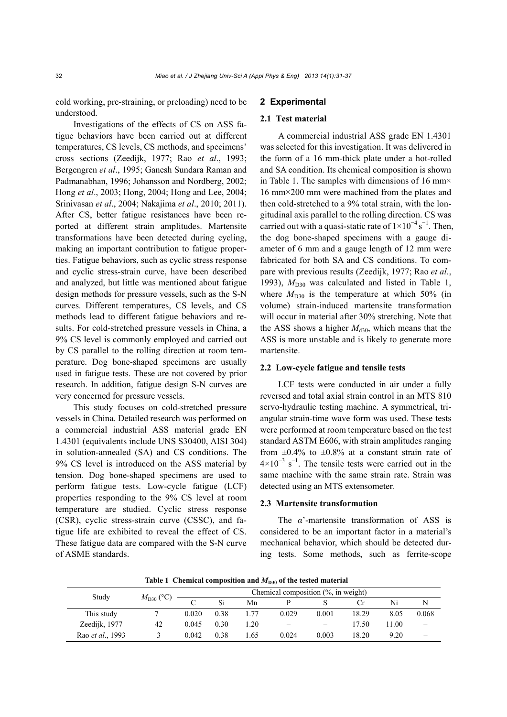cold working, pre-straining, or preloading) need to be understood.

Investigations of the effects of CS on ASS fatigue behaviors have been carried out at different temperatures, CS levels, CS methods, and specimens' cross sections (Zeedijk, 1977; Rao *et al*., 1993; Bergengren *et al*., 1995; Ganesh Sundara Raman and Padmanabhan, 1996; Johansson and Nordberg, 2002; Hong *et al*., 2003; Hong, 2004; Hong and Lee, 2004; Srinivasan *et al*., 2004; Nakajima *et al*., 2010; 2011). After CS, better fatigue resistances have been reported at different strain amplitudes. Martensite transformations have been detected during cycling, making an important contribution to fatigue properties. Fatigue behaviors, such as cyclic stress response and cyclic stress-strain curve, have been described and analyzed, but little was mentioned about fatigue design methods for pressure vessels, such as the S-N curves. Different temperatures, CS levels, and CS methods lead to different fatigue behaviors and results. For cold-stretched pressure vessels in China, a 9% CS level is commonly employed and carried out by CS parallel to the rolling direction at room temperature. Dog bone-shaped specimens are usually used in fatigue tests. These are not covered by prior research. In addition, fatigue design S-N curves are very concerned for pressure vessels.

This study focuses on cold-stretched pressure vessels in China. Detailed research was performed on a commercial industrial ASS material grade EN 1.4301 (equivalents include UNS S30400, AISI 304) in solution-annealed (SA) and CS conditions. The 9% CS level is introduced on the ASS material by tension. Dog bone-shaped specimens are used to perform fatigue tests. Low-cycle fatigue (LCF) properties responding to the 9% CS level at room temperature are studied. Cyclic stress response (CSR), cyclic stress-strain curve (CSSC), and fatigue life are exhibited to reveal the effect of CS. These fatigue data are compared with the S-N curve of ASME standards.

# **2 Experimental**

## **2.1 Test material**

A commercial industrial ASS grade EN 1.4301 was selected for this investigation. It was delivered in the form of a 16 mm-thick plate under a hot-rolled and SA condition. Its chemical composition is shown in Table 1. The samples with dimensions of 16 mm× 16 mm×200 mm were machined from the plates and then cold-stretched to a 9% total strain, with the longitudinal axis parallel to the rolling direction. CS was carried out with a quasi-static rate of  $1 \times 10^{-4}$  s<sup>-1</sup>. Then, the dog bone-shaped specimens with a gauge diameter of 6 mm and a gauge length of 12 mm were fabricated for both SA and CS conditions. To compare with previous results (Zeedijk, 1977; Rao *et al.*, 1993),  $M<sub>D30</sub>$  was calculated and listed in Table 1, where  $M_{D30}$  is the temperature at which 50% (in volume) strain-induced martensite transformation will occur in material after 30% stretching. Note that the ASS shows a higher  $M_{d30}$ , which means that the ASS is more unstable and is likely to generate more martensite.

## **2.2 Low-cycle fatigue and tensile tests**

LCF tests were conducted in air under a fully reversed and total axial strain control in an MTS 810 servo-hydraulic testing machine. A symmetrical, triangular strain-time wave form was used. These tests were performed at room temperature based on the test standard ASTM E606, with strain amplitudes ranging from  $\pm 0.4\%$  to  $\pm 0.8\%$  at a constant strain rate of  $4\times10^{-3}$  s<sup>-1</sup>. The tensile tests were carried out in the same machine with the same strain rate. Strain was detected using an MTS extensometer.

# **2.3 Martensite transformation**

The *α*'-martensite transformation of ASS is considered to be an important factor in a material's mechanical behavior, which should be detected during tests. Some methods, such as ferrite-scope

**Table 1 Chemical composition and**  $M_{D30}$  **of the tested material** 

| Study                    | $M_{\text{D30}}$ (°C) | Chemical composition $(\%$ , in weight) |      |             |                 |                          |       |       |       |
|--------------------------|-----------------------|-----------------------------------------|------|-------------|-----------------|--------------------------|-------|-------|-------|
|                          |                       | $\sqrt{ }$                              | Si   | Mn          |                 |                          |       | Ni    | N     |
| This study               |                       | 0.020                                   | 0.38 |             | 0.029           | 0.001                    | 18.29 | 8.05  | 0.068 |
| Zeedijk, 1977            | $-42$                 | 0.045                                   | 0.30 | $\cdot .20$ | $\qquad \qquad$ | $\overline{\phantom{0}}$ | 17.50 | 11.00 |       |
| Rao <i>et al.</i> , 1993 | $^{-3}$               | 0.042                                   | 0.38 | .65         | 0.024           | 0.003                    | 18.20 | 9.20  |       |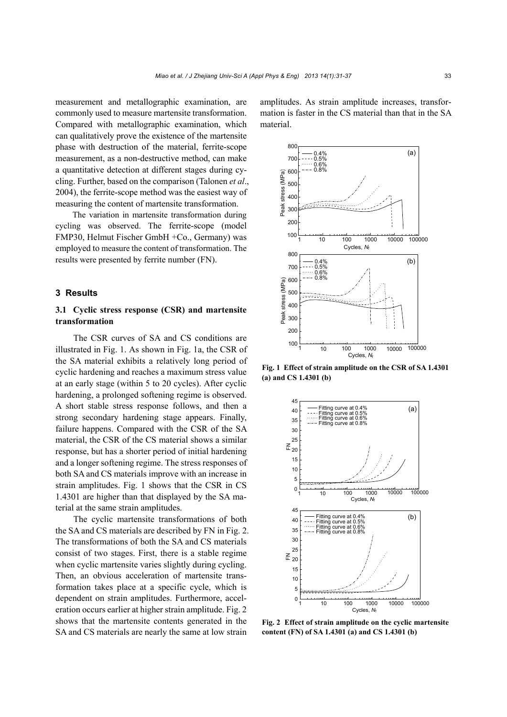measurement and metallographic examination, are commonly used to measure martensite transformation. Compared with metallographic examination, which can qualitatively prove the existence of the martensite phase with destruction of the material, ferrite-scope measurement, as a non-destructive method, can make a quantitative detection at different stages during cycling. Further, based on the comparison (Talonen *et al*., 2004), the ferrite-scope method was the easiest way of measuring the content of martensite transformation.

The variation in martensite transformation during cycling was observed. The ferrite-scope (model FMP30, Helmut Fischer GmbH +Co., Germany) was employed to measure the content of transformation. The results were presented by ferrite number (FN).

# **3 Results**

# **3.1 Cyclic stress response (CSR) and martensite transformation**

The CSR curves of SA and CS conditions are illustrated in Fig. 1. As shown in Fig. 1a, the CSR of the SA material exhibits a relatively long period of cyclic hardening and reaches a maximum stress value at an early stage (within 5 to 20 cycles). After cyclic hardening, a prolonged softening regime is observed. A short stable stress response follows, and then a strong secondary hardening stage appears. Finally, failure happens. Compared with the CSR of the SA material, the CSR of the CS material shows a similar response, but has a shorter period of initial hardening and a longer softening regime. The stress responses of both SA and CS materials improve with an increase in strain amplitudes. Fig. 1 shows that the CSR in CS 1.4301 are higher than that displayed by the SA material at the same strain amplitudes.

The cyclic martensite transformations of both the SA and CS materials are described by FN in Fig. 2. The transformations of both the SA and CS materials consist of two stages. First, there is a stable regime when cyclic martensite varies slightly during cycling. Then, an obvious acceleration of martensite transformation takes place at a specific cycle, which is dependent on strain amplitudes. Furthermore, acceleration occurs earlier at higher strain amplitude. Fig. 2 shows that the martensite contents generated in the SA and CS materials are nearly the same at low strain

amplitudes. As strain amplitude increases, transformation is faster in the CS material than that in the SA material.



**Fig. 1 Effect of strain amplitude on the CSR of SA 1.4301 (a) and CS 1.4301 (b)** 



**Fig. 2 Effect of strain amplitude on the cyclic martensite content (FN) of SA 1.4301 (a) and CS 1.4301 (b)**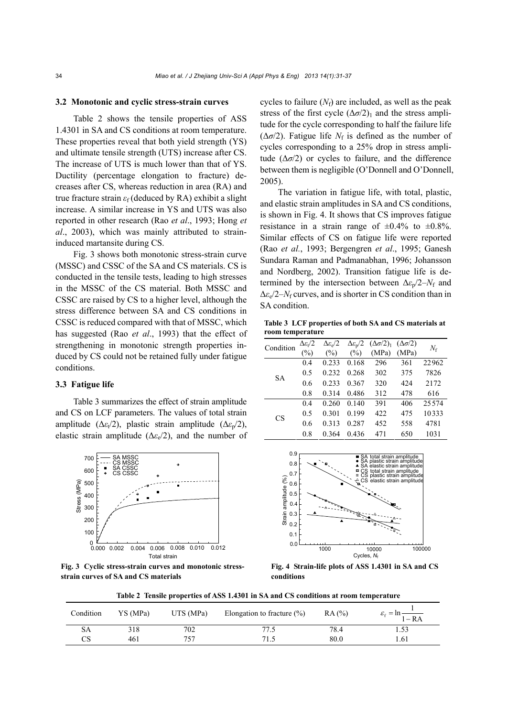#### **3.2 Monotonic and cyclic stress-strain curves**

Table 2 shows the tensile properties of ASS 1.4301 in SA and CS conditions at room temperature. These properties reveal that both yield strength (YS) and ultimate tensile strength (UTS) increase after CS. The increase of UTS is much lower than that of YS. Ductility (percentage elongation to fracture) decreases after CS, whereas reduction in area (RA) and true fracture strain *ε*f (deduced by RA) exhibit a slight increase. A similar increase in YS and UTS was also reported in other research (Rao *et al*., 1993; Hong *et al*., 2003), which was mainly attributed to straininduced martansite during CS.

Fig. 3 shows both monotonic stress-strain curve (MSSC) and CSSC of the SA and CS materials. CS is conducted in the tensile tests, leading to high stresses in the MSSC of the CS material. Both MSSC and CSSC are raised by CS to a higher level, although the stress difference between SA and CS conditions in CSSC is reduced compared with that of MSSC, which has suggested (Rao *et al*., 1993) that the effect of strengthening in monotonic strength properties induced by CS could not be retained fully under fatigue conditions.

#### **3.3 Fatigue life**

Table 3 summarizes the effect of strain amplitude and CS on LCF parameters. The values of total strain amplitude ( $\Delta \epsilon_1/2$ ), plastic strain amplitude ( $\Delta \epsilon_2/2$ ), elastic strain amplitude ( $\Delta \varepsilon_e/2$ ), and the number of



**Fig. 3 Cyclic stress-strain curves and monotonic stressstrain curves of SA and CS materials** 

cycles to failure  $(N_f)$  are included, as well as the peak stress of the first cycle  $(\Delta \sigma/2)_1$  and the stress amplitude for the cycle corresponding to half the failure life ( $\Delta \sigma/2$ ). Fatigue life  $N_f$  is defined as the number of cycles corresponding to a 25% drop in stress amplitude  $(\Delta \sigma/2)$  or cycles to failure, and the difference between them is negligible (O'Donnell and O'Donnell, 2005).

The variation in fatigue life, with total, plastic, and elastic strain amplitudes in SA and CS conditions, is shown in Fig. 4. It shows that CS improves fatigue resistance in a strain range of  $\pm 0.4\%$  to  $\pm 0.8\%$ . Similar effects of CS on fatigue life were reported (Rao *et al.*, 1993; Bergengren *et al*., 1995; Ganesh Sundara Raman and Padmanabhan, 1996; Johansson and Nordberg, 2002). Transition fatigue life is determined by the intersection between  $\Delta \epsilon_{p}/2-N_{f}$  and  $\Delta \varepsilon_e/2-N_f$  curves, and is shorter in CS condition than in SA condition.

**Table 3 LCF properties of both SA and CS materials at room temperature** 

| Condition | $\Delta \varepsilon_{1}/2$ | $\Delta \varepsilon_{\rm e} / 2$ |       | $\Delta \varepsilon_{p}/2 \quad (\Delta \sigma/2)_{1} \quad (\Delta \sigma/2)$ |       | $N_{\rm f}$ |  |
|-----------|----------------------------|----------------------------------|-------|--------------------------------------------------------------------------------|-------|-------------|--|
|           | (%)                        | (%)                              | (%)   | (MPa)                                                                          | (MPa) |             |  |
| <b>SA</b> | 0.4                        | 0.233                            | 0.168 | 296                                                                            | 361   | 22962       |  |
|           | 0.5                        | 0.232                            | 0.268 | 302                                                                            | 375   | 7826        |  |
|           | 0.6                        | 0.233                            | 0.367 | 320                                                                            | 424   | 2172        |  |
|           | 0.8                        | 0.314                            | 0.486 | 312                                                                            | 478   | 616         |  |
| CS        | 0.4                        | 0.260                            | 0.140 | 391                                                                            | 406   | 25574       |  |
|           | 0.5                        | 0.301                            | 0.199 | 422                                                                            | 475   | 10333       |  |
|           | 0.6                        | 0.313                            | 0.287 | 452                                                                            | 558   | 4781        |  |
|           | 0.8                        | 0.364                            | 0.436 | 471                                                                            | 650   | 1031        |  |



**Fig. 4 Strain-life plots of ASS 1.4301 in SA and CS conditions** 

**Table 2 Tensile properties of ASS 1.4301 in SA and CS conditions at room temperature** 

| Condition | YS (MPa) | UTS (MPa) | Elongation to fracture $(\% )$ | RA(%) | $\varepsilon_f = \ln \frac{1}{1 - RA}$ |
|-----------|----------|-----------|--------------------------------|-------|----------------------------------------|
| SА        | 318      | 702       |                                | 78.4  |                                        |
| CS        | 461      | 757       | 71.5                           | 80.0  | 1.61                                   |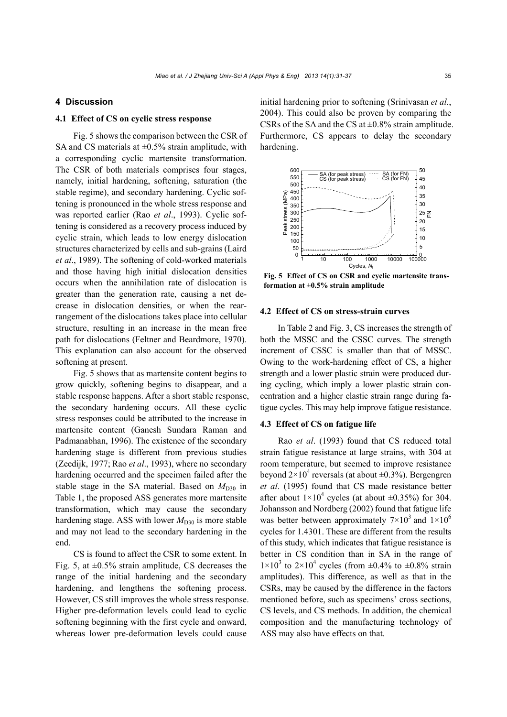# **4 Discussion**

# **4.1 Effect of CS on cyclic stress response**

Fig. 5 shows the comparison between the CSR of SA and CS materials at  $\pm 0.5\%$  strain amplitude, with a corresponding cyclic martensite transformation. The CSR of both materials comprises four stages, namely, initial hardening, softening, saturation (the stable regime), and secondary hardening. Cyclic softening is pronounced in the whole stress response and was reported earlier (Rao *et al*., 1993). Cyclic softening is considered as a recovery process induced by cyclic strain, which leads to low energy dislocation structures characterized by cells and sub-grains (Laird *et al*., 1989). The softening of cold-worked materials and those having high initial dislocation densities occurs when the annihilation rate of dislocation is greater than the generation rate, causing a net decrease in dislocation densities, or when the rearrangement of the dislocations takes place into cellular structure, resulting in an increase in the mean free path for dislocations (Feltner and Beardmore, 1970). This explanation can also account for the observed softening at present.

Fig. 5 shows that as martensite content begins to grow quickly, softening begins to disappear, and a stable response happens. After a short stable response, the secondary hardening occurs. All these cyclic stress responses could be attributed to the increase in martensite content (Ganesh Sundara Raman and Padmanabhan, 1996). The existence of the secondary hardening stage is different from previous studies (Zeedijk, 1977; Rao *et al*., 1993), where no secondary hardening occurred and the specimen failed after the stable stage in the SA material. Based on  $M_{D30}$  in Table 1, the proposed ASS generates more martensite transformation, which may cause the secondary hardening stage. ASS with lower  $M_{D30}$  is more stable and may not lead to the secondary hardening in the end.

CS is found to affect the CSR to some extent. In Fig. 5, at  $\pm 0.5\%$  strain amplitude, CS decreases the range of the initial hardening and the secondary hardening, and lengthens the softening process. However, CS still improves the whole stress response. Higher pre-deformation levels could lead to cyclic softening beginning with the first cycle and onward, whereas lower pre-deformation levels could cause

initial hardening prior to softening (Srinivasan *et al.*, 2004). This could also be proven by comparing the CSRs of the SA and the CS at  $\pm$ 0.8% strain amplitude. Furthermore, CS appears to delay the secondary hardening.



**Fig. 5 Effect of CS on CSR and cyclic martensite transformation at ±0.5% strain amplitude** 

## **4.2 Effect of CS on stress-strain curves**

In Table 2 and Fig. 3, CS increases the strength of both the MSSC and the CSSC curves. The strength increment of CSSC is smaller than that of MSSC. Owing to the work-hardening effect of CS, a higher strength and a lower plastic strain were produced during cycling, which imply a lower plastic strain concentration and a higher elastic strain range during fatigue cycles. This may help improve fatigue resistance.

# **4.3 Effect of CS on fatigue life**

Rao *et al*. (1993) found that CS reduced total strain fatigue resistance at large strains, with 304 at room temperature, but seemed to improve resistance beyond  $2 \times 10^4$  reversals (at about  $\pm 0.3\%$ ). Bergengren *et al*. (1995) found that CS made resistance better after about  $1 \times 10^4$  cycles (at about  $\pm 0.35\%$ ) for 304. Johansson and Nordberg (2002) found that fatigue life was better between approximately  $7 \times 10^3$  and  $1 \times 10^6$ cycles for 1.4301. These are different from the results of this study, which indicates that fatigue resistance is better in CS condition than in SA in the range of  $1\times10^3$  to  $2\times10^4$  cycles (from  $\pm 0.4\%$  to  $\pm 0.8\%$  strain amplitudes). This difference, as well as that in the CSRs, may be caused by the difference in the factors mentioned before, such as specimens' cross sections, CS levels, and CS methods. In addition, the chemical composition and the manufacturing technology of ASS may also have effects on that.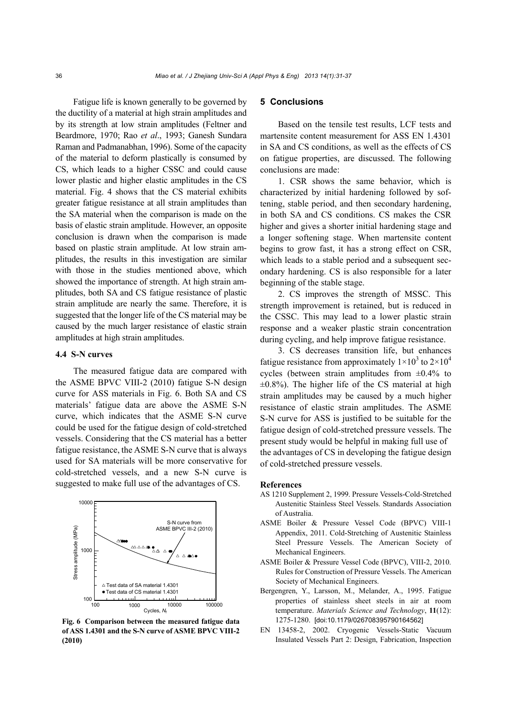Fatigue life is known generally to be governed by the ductility of a material at high strain amplitudes and by its strength at low strain amplitudes (Feltner and Beardmore, 1970; Rao *et al*., 1993; Ganesh Sundara Raman and Padmanabhan, 1996). Some of the capacity of the material to deform plastically is consumed by CS, which leads to a higher CSSC and could cause lower plastic and higher elastic amplitudes in the CS material. Fig. 4 shows that the CS material exhibits greater fatigue resistance at all strain amplitudes than the SA material when the comparison is made on the basis of elastic strain amplitude. However, an opposite conclusion is drawn when the comparison is made based on plastic strain amplitude. At low strain amplitudes, the results in this investigation are similar with those in the studies mentioned above, which showed the importance of strength. At high strain amplitudes, both SA and CS fatigue resistance of plastic strain amplitude are nearly the same. Therefore, it is suggested that the longer life of the CS material may be caused by the much larger resistance of elastic strain amplitudes at high strain amplitudes.

# **4.4 S-N curves**

The measured fatigue data are compared with the ASME BPVC VIII-2 (2010) fatigue S-N design curve for ASS materials in Fig. 6. Both SA and CS materials' fatigue data are above the ASME S-N curve, which indicates that the ASME S-N curve could be used for the fatigue design of cold-stretched vessels. Considering that the CS material has a better fatigue resistance, the ASME S-N curve that is always used for SA materials will be more conservative for cold-stretched vessels, and a new S-N curve is suggested to make full use of the advantages of CS.



**Fig. 6 Comparison between the measured fatigue data of ASS 1.4301 and the S-N curve of ASME BPVC VIII-2 (2010)** 

# **5 Conclusions**

Based on the tensile test results, LCF tests and martensite content measurement for ASS EN 1.4301 in SA and CS conditions, as well as the effects of CS on fatigue properties, are discussed. The following conclusions are made:

1. CSR shows the same behavior, which is characterized by initial hardening followed by softening, stable period, and then secondary hardening, in both SA and CS conditions. CS makes the CSR higher and gives a shorter initial hardening stage and a longer softening stage. When martensite content begins to grow fast, it has a strong effect on CSR, which leads to a stable period and a subsequent secondary hardening. CS is also responsible for a later beginning of the stable stage.

2. CS improves the strength of MSSC. This strength improvement is retained, but is reduced in the CSSC. This may lead to a lower plastic strain response and a weaker plastic strain concentration during cycling, and help improve fatigue resistance.

3. CS decreases transition life, but enhances fatigue resistance from approximately  $1 \times 10^3$  to  $2 \times 10^4$ cycles (between strain amplitudes from  $\pm 0.4\%$  to  $\pm 0.8\%$ ). The higher life of the CS material at high strain amplitudes may be caused by a much higher resistance of elastic strain amplitudes. The ASME S-N curve for ASS is justified to be suitable for the fatigue design of cold-stretched pressure vessels. The present study would be helpful in making full use of the advantages of CS in developing the fatigue design of cold-stretched pressure vessels.

#### **References**

- AS 1210 Supplement 2, 1999. Pressure Vessels-Cold-Stretched Austenitic Stainless Steel Vessels. Standards Association of Australia.
- ASME Boiler & Pressure Vessel Code (BPVC) VIII-1 Appendix, 2011. Cold-Stretching of Austenitic Stainless Steel Pressure Vessels. The American Society of Mechanical Engineers.
- ASME Boiler & Pressure Vessel Code (BPVC), VIII-2, 2010. Rules for Construction of Pressure Vessels. The American Society of Mechanical Engineers.
- Bergengren, Y., Larsson, M., Melander, A., 1995. Fatigue properties of stainless sheet steels in air at room temperature. *Materials Science and Technology*, **11**(12): 1275-1280. [doi:10.1179/026708395790164562]
- EN 13458-2, 2002. Cryogenic Vessels-Static Vacuum Insulated Vessels Part 2: Design, Fabrication, Inspection